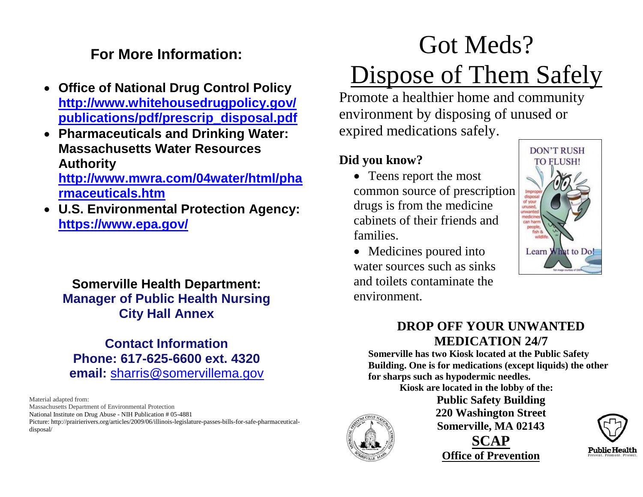## **For More Information:**

- **Office of National Drug Control Policy [http://www.whitehousedrugpolicy.gov/](http://www.whitehousedrugpolicy.gov/publications/pdf/prescrip_disposal.pdf) [publications/pdf/prescrip\\_disposal.pdf](http://www.whitehousedrugpolicy.gov/publications/pdf/prescrip_disposal.pdf)**
- **Pharmaceuticals and Drinking Water: Massachusetts Water Resources Authority**

**[http://www.mwra.com/04water/html/pha](http://www.mwra.com/04water/html/pharmaceuticals.htm) [rmaceuticals.htm](http://www.mwra.com/04water/html/pharmaceuticals.htm)**

 **U.S. Environmental Protection Agency: <https://www.epa.gov/>**

## **Somerville Health Department: Manager of Public Health Nursing City Hall Annex**

**Contact Information Phone: 617-625-6600 ext. 4320 email:** [sharris@somervillema.gov](mailto:sharris@somervillema.gov)

Material adapted from:

Massachusetts Department of Environmental Protection

National Institute on Drug Abuse - NIH Publication # 05-4881

Picture: http://prairierivers.org/articles/2009/06/illinois-legislature-passes-bills-for-safe-pharmaceuticaldisposal/

# Got Meds? Dispose of Them Safely

Promote a healthier home and community environment by disposing of unused or expired medications safely.

## **Did you know?**

- Teens report the most common source of prescription drugs is from the medicine cabinets of their friends and families.
- Medicines poured into water sources such as sinks and toilets contaminate the environment.



## **DROP OFF YOUR UNWANTED MEDICATION 24/7**

**Somerville has two Kiosk located at the Public Safety Building. One is for medications (except liquids) the other for sharps such as hypodermic needles.**

**Kiosk are located in the lobby of the:**



**Public Safety Building 220 Washington Street Somerville, MA 02143 SCAP Office of Prevention**